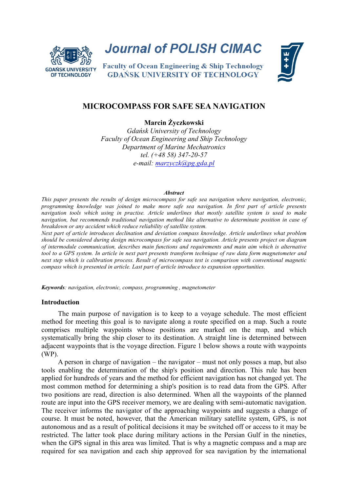

**Journal of POLISH CIMAC** 

**Faculty of Ocean Engineering & Ship Technology GDAŃSK UNIVERSITY OF TECHNOLOGY** 



# **MICROCOMPASS FOR SAFE SEA NAVIGATION**

**Marcin Życzkowski**

*Gdańsk University of Technology Faculty of Ocean Engineering and Ship Technology Department of Marine Mechatronics tel. (+48 58) 347-20-57 e-mail: [marzyczk@pg.gda.pl](mailto:marzyczk@pg.gda.pl)*

#### *Abstract*

*This paper presents the results of design microcompass for safe sea navigation where navigation, electronic, programming knowledge was joined to make more safe sea navigation. In first part of article presents navigation tools which using in practise. Article underlines that mostly satellite system is used to make navigation, but recommends traditional navigation method like alternative to determinate position in case of breakdown or any accident which reduce reliability of satellite system.*

*Next part of article introduces declination and deviation compass knowledge. Article underlines what problem should be considered during design microcompass for safe sea navigation. Article presents project on diagram of intermodule communication, describes main functions and requirements and main aim which is alternative tool to a GPS system. In article in next part presents transform technique of raw data form magnetometer and next step which is calibration process. Result of microcompass test is comparison with conventional magnetic compass which is presented in article. Last part of article introduce to expansion opportunities.* 

*Keywords: navigation, electronic, compass, programming , magnetometer*

### **Introduction**

The main purpose of navigation is to keep to a voyage schedule. The most efficient method for meeting this goal is to navigate along a route specified on a map. Such a route comprises multiple waypoints whose positions are marked on the map, and which systematically bring the ship closer to its destination. A straight line is determined between adjacent waypoints that is the voyage direction. Figure 1 below shows a route with waypoints (WP).

A person in charge of navigation – the navigator – must not only posses a map, but also tools enabling the determination of the ship's position and direction. This rule has been applied for hundreds of years and the method for efficient navigation has not changed yet. The most common method for determining a ship's position is to read data from the GPS. After two positions are read, direction is also determined. When all the waypoints of the planned route are input into the GPS receiver memory, we are dealing with semi-automatic navigation. The receiver informs the navigator of the approaching waypoints and suggests a change of course. It must be noted, however, that the American military satellite system, GPS, is not autonomous and as a result of political decisions it may be switched off or access to it may be restricted. The latter took place during military actions in the Persian Gulf in the nineties, when the GPS signal in this area was limited. That is why a magnetic compass and a map are required for sea navigation and each ship approved for sea navigation by the international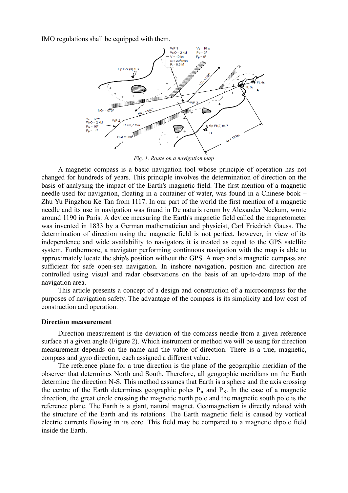IMO regulations shall be equipped with them.



*Fig. 1. Route on a navigation map*

A magnetic compass is a basic navigation tool whose principle of operation has not changed for hundreds of years. This principle involves the determination of direction on the basis of analysing the impact of the Earth's magnetic field. The first mention of a magnetic needle used for navigation, floating in a container of water, was found in a Chinese book – Zhu Yu Pingzhou Ke Tan from 1117. In our part of the world the first mention of a magnetic needle and its use in navigation was found in De naturis rerum by Alexander Neckam, wrote around 1190 in Paris. A device measuring the Earth's magnetic field called the magnetometer was invented in 1833 by a German mathematician and physicist, Carl Friedrich Gauss. The determination of direction using the magnetic field is not perfect, however, in view of its independence and wide availability to navigators it is treated as equal to the GPS satellite system. Furthermore, a navigator performing continuous navigation with the map is able to approximately locate the ship's position without the GPS. A map and a magnetic compass are sufficient for safe open-sea navigation. In inshore navigation, position and direction are controlled using visual and radar observations on the basis of an up-to-date map of the navigation area.

This article presents a concept of a design and construction of a microcompass for the purposes of navigation safety. The advantage of the compass is its simplicity and low cost of construction and operation.

### **Direction measurement**

Direction measurement is the deviation of the compass needle from a given reference surface at a given angle (Figure 2). Which instrument or method we will be using for direction measurement depends on the name and the value of direction. There is a true, magnetic, compass and gyro direction, each assigned a different value.

The reference plane for a true direction is the plane of the geographic meridian of the observer that determines North and South. Therefore, all geographic meridians on the Earth determine the direction N-S. This method assumes that Earth is a sphere and the axis crossing the centre of the Earth determines geographic poles  $P_n$  and  $P_s$ . In the case of a magnetic direction, the great circle crossing the magnetic north pole and the magnetic south pole is the reference plane. The Earth is a giant, natural magnet. Geomagnetism is directly related with the structure of the Earth and its rotations. The Earth magnetic field is caused by vortical electric currents flowing in its core. This field may be compared to a magnetic dipole field inside the Earth.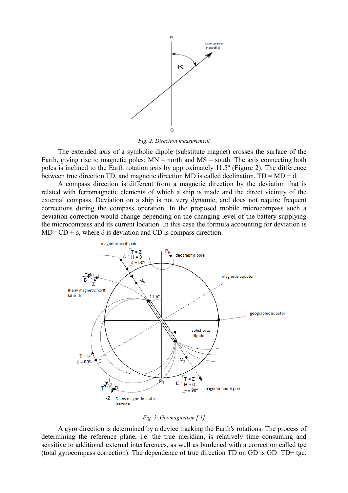

*Fig. 2. Direction measurement*

The extended axis of a symbolic dipole (substitute magnet) crosses the surface of the Earth, giving rise to magnetic poles: MN – north and MS – south. The axis connecting both poles is inclined to the Earth rotation axis by approximately 11.5º (Figure 2). The difference between true direction TD, and magnetic direction MD is called declination,  $TD = MD + d$ .

A compass direction is different from a magnetic direction by the deviation that is related with ferromagnetic elements of which a ship is made and the direct vicinity of the external compass. Deviation on a ship is not very dynamic, and does not require frequent corrections during the compass operation. In the proposed mobile microcompass such a deviation correction would change depending on the changing level of the battery supplying the microcompass and its current location. In this case the formula accounting for deviation is MD=  $CD + \delta$ , where  $\delta$  is deviation and CD is compass direction.



### *Fig. 3. Geomagnetism [ 1]*

A gyro direction is determined by a device tracking the Earth's rotations. The process of determining the reference plane, i.e. the true meridian, is relatively time consuming and sensitive to additional external interferences, as well as burdened with a correction called tgc (total gyrocompass correction). The dependence of true direction TD on GD is GD=TD+ tgc.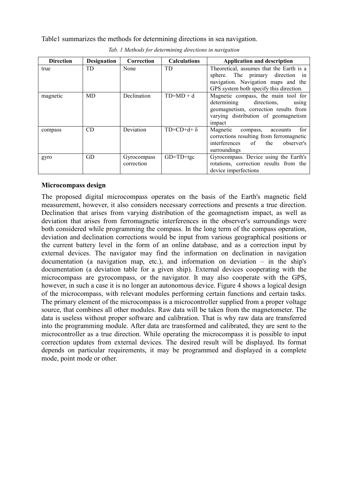Table1 summarizes the methods for determining directions in sea navigation.

| <b>Direction</b> | <b>Designation</b> | Correction                | <b>Calculations</b>    | <b>Application and description</b>                                                                                                                                    |
|------------------|--------------------|---------------------------|------------------------|-----------------------------------------------------------------------------------------------------------------------------------------------------------------------|
| true             | TD                 | None                      | <b>TD</b>              | Theoretical, assumes that the Earth is a<br>sphere. The primary direction in<br>navigation. Navigation maps and the<br>GPS system both specify this direction.        |
| magnetic         | <b>MD</b>          | Declination               | $TD=MD+d$              | Magnetic compass, the main tool for<br>determining<br>directions,<br>using<br>geomagnetism, correction results from<br>varying distribution of geomagnetism<br>impact |
| compass          | CD                 | Deviation                 | $TD=CD+d+\delta$       | for<br>Magnetic<br>compass,<br>accounts<br>corrections resulting from ferromagnetic<br>$\sigma$ f<br>interferences<br>the<br>observer's<br>surroundings               |
| gyro             | GD                 | Gyrocompass<br>correction | $GD = TD + \text{tgc}$ | Gyrocompass. Device using the Earth's<br>rotations, correction results from the<br>device imperfections                                                               |

*Tab. 1 Methods for determining directions in navigation*

### **Microcompass design**

The proposed digital microcompass operates on the basis of the Earth's magnetic field measurement, however, it also considers necessary corrections and presents a true direction. Declination that arises from varying distribution of the geomagnetism impact, as well as deviation that arises from ferromagnetic interferences in the observer's surroundings were both considered while programming the compass. In the long term of the compass operation, deviation and declination corrections would be input from various geographical positions or the current battery level in the form of an online database, and as a correction input by external devices. The navigator may find the information on declination in navigation documentation (a navigation map, etc.), and information on deviation – in the ship's documentation (a deviation table for a given ship). External devices cooperating with the microcompass are gyrocompass, or the navigator. It may also cooperate with the GPS, however, in such a case it is no longer an autonomous device. Figure 4 shows a logical design of the microcompass, with relevant modules performing certain functions and certain tasks. The primary element of the microcompass is a microcontroller supplied from a proper voltage source, that combines all other modules. Raw data will be taken from the magnetometer. The data is useless without proper software and calibration. That is why raw data are transferred into the programming module. After data are transformed and calibrated, they are sent to the microcontroller as a true direction. While operating the microcompass it is possible to input correction updates from external devices. The desired result will be displayed. Its format depends on particular requirements, it may be programmed and displayed in a complete mode, point mode or other.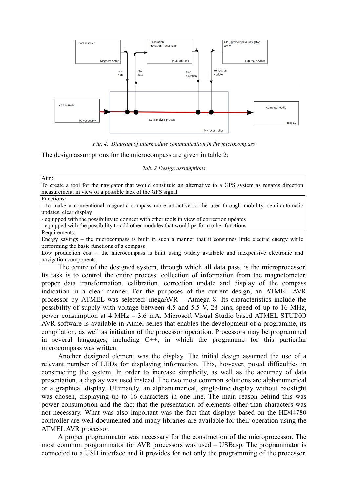

*Fig. 4. Diagram of intermodule communication in the microcompass*

The design assumptions for the microcompass are given in table 2:

*Tab. 2 Design assumptions*

Aim:

To create a tool for the navigator that would constitute an alternative to a GPS system as regards direction measurement, in view of a possible lack of the GPS signal

#### Functions:

- to make a conventional magnetic compass more attractive to the user through mobility, semi-automatic updates, clear display

- equipped with the possibility to connect with other tools in view of correction updates

- equipped with the possibility to add other modules that would perform other functions

Requirements:

Energy savings – the microcompass is built in such a manner that it consumes little electric energy while performing the basic functions of a compass

Low production cost – the microcompass is built using widely available and inexpensive electronic and navigation components

The centre of the designed system, through which all data pass, is the microprocessor. Its task is to control the entire process: collection of information from the magnetometer, proper data transformation, calibration, correction update and display of the compass indication in a clear manner. For the purposes of the current design, an ATMEL AVR processor by ATMEL was selected: megaAVR – Atmega 8. Its characteristics include the possibility of supply with voltage between 4.5 and 5.5 V, 28 pins, speed of up to 16 MHz, power consumption at 4 MHz – 3.6 mA. Microsoft Visual Studio based ATMEL STUDIO AVR software is available in Atmel series that enables the development of a programme, its compilation, as well as initiation of the processor operation. Processors may be programmed in several languages, including C++, in which the programme for this particular microcompass was written.

Another designed element was the display. The initial design assumed the use of a relevant number of LEDs for displaying information. This, however, posed difficulties in constructing the system. In order to increase simplicity, as well as the accuracy of data presentation, a display was used instead. The two most common solutions are alphanumerical or a graphical display. Ultimately, an alphanumerical, single-line display without backlight was chosen, displaying up to 16 characters in one line. The main reason behind this was power consumption and the fact that the presentation of elements other than characters was not necessary. What was also important was the fact that displays based on the HD44780 controller are well documented and many libraries are available for their operation using the ATMEL AVR processor.

A proper programmator was necessary for the construction of the microprocessor. The most common programmator for AVR processors was used – USBasp. The programmator is connected to a USB interface and it provides for not only the programming of the processor,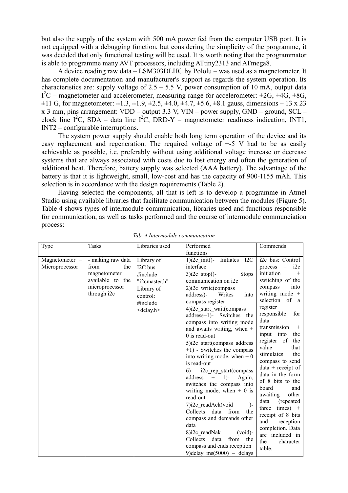but also the supply of the system with 500 mA power fed from the computer USB port. It is not equipped with a debugging function, but considering the simplicity of the programme, it was decided that only functional testing will be used. It is worth noting that the programmator is able to programme many AVT processors, including ATtiny2313 and ATmega8.

A device reading raw data – LSM303DLHC by Pololu – was used as a magnetometer. It has complete documentation and manufacturer's support as regards the system operation. Its characteristics are: supply voltage of  $2.5 - 5.5$  V, power consumption of 10 mA, output data  $I^2C$  – magnetometer and accelerometer, measuring range for accelerometer:  $\pm 2G$ ,  $\pm 4G$ ,  $\pm 8G$ ,  $\pm$ 11 G, for magnetometer:  $\pm$ 1.3,  $\pm$ 1.9,  $\pm$ 2.5,  $\pm$ 4.0,  $\pm$ 4.7,  $\pm$ 5.6,  $\pm$ 8.1 gauss, dimensions – 13 x 23 x 3 mm, pins arrangement: VDD – output 3.3 V, VIN – power supply, GND – ground, SCL – clock line  $I^2C$ , SDA – data line  $I^2C$ , DRD-Y – magnetometer readiness indication, INT1, INT2 – configurable interruptions.

The system power supply should enable both long term operation of the device and its easy replacement and regeneration. The required voltage of +-5 V had to be as easily achievable as possible, i.e. preferably without using additional voltage increase or decrease systems that are always associated with costs due to lost energy and often the generation of additional heat. Therefore, battery supply was selected (AAA battery). The advantage of the battery is that it is lightweight, small, low-cost and has the capacity of 900-1155 mAh. This selection is in accordance with the design requirements (Table 2).

Having selected the components, all that is left is to develop a programme in Atmel Studio using available libraries that facilitate communication between the modules (Figure 5). Table 4 shows types of intermodule communication, libraries used and functions responsible for communication, as well as tasks performed and the course of intermodule communciation process:

| Type                             | Tasks                                                                                                 | Libraries used                                                                                                | Performed                                                                                                                                                                                                                                                                                                                                                                                                                                                                                                                                                                                                                                                                                                                                                                                                                | Commends                                                                                                                                                                                                                                                                                                                                                                                                                                                                                                                                                                     |
|----------------------------------|-------------------------------------------------------------------------------------------------------|---------------------------------------------------------------------------------------------------------------|--------------------------------------------------------------------------------------------------------------------------------------------------------------------------------------------------------------------------------------------------------------------------------------------------------------------------------------------------------------------------------------------------------------------------------------------------------------------------------------------------------------------------------------------------------------------------------------------------------------------------------------------------------------------------------------------------------------------------------------------------------------------------------------------------------------------------|------------------------------------------------------------------------------------------------------------------------------------------------------------------------------------------------------------------------------------------------------------------------------------------------------------------------------------------------------------------------------------------------------------------------------------------------------------------------------------------------------------------------------------------------------------------------------|
|                                  |                                                                                                       |                                                                                                               | functions                                                                                                                                                                                                                                                                                                                                                                                                                                                                                                                                                                                                                                                                                                                                                                                                                |                                                                                                                                                                                                                                                                                                                                                                                                                                                                                                                                                                              |
| Magnetometer -<br>Microprocessor | - making raw data<br>from<br>the<br>magnetometer<br>available to the<br>microprocessor<br>through i2c | Library of<br>I2C bus<br>#include<br>"i2cmaster.h"<br>Library of<br>control:<br>#include<br>$\le$ delay.h $>$ | $1)$ i2c init()-<br>Initiates I2C<br>interface<br>$3)$ i2c stop()-<br><b>Stops</b><br>communication on i2c<br>2)i2c write(compass<br>Writes<br>address)-<br>into<br>compass register<br>4)i2c start wait(compass<br>address+1)- Switches the<br>compass into writing mode<br>and awaits writing, when $+$<br>$0$ is read-out<br>5)i2c_start(compass_address<br>$+1$ ) - Switches the compass<br>into writing mode, when $+0$<br>is read-out<br>i2c rep start(compass<br>6)<br>address<br>$\! + \!\!\!\!$<br>$1)$ -<br>Again,<br>switches the compass into<br>writing mode, when $+ 0$ is<br>read-out<br>7)i2c readAck(void<br>$\overline{)}$<br><b>Collects</b><br>data<br>from<br>the<br>compass and demands other<br>data<br>8)i2c readNak<br>$(void)$ -<br>Collects<br>data<br>from the<br>compass and ends reception | i2c bus: Control<br>i2c<br>process<br>initiation<br>$^{+}$<br>switching of the<br>compass<br>into<br>writing mode +<br>selection of a<br>register<br>responsible<br>for<br>data<br>transmission<br>$^{+}$<br>input into<br>the<br>register of<br>the<br>value<br>that<br>stimulates<br>the<br>compass to send<br>$data + receipt of$<br>data in the form<br>of 8 bits to the<br>board<br>and<br>other<br>awaiting<br>data<br>(repeated)<br>$times) +$<br>three<br>receipt of 8 bits<br>and<br>reception<br>completion. Data<br>are included in<br>the<br>character<br>table. |
|                                  |                                                                                                       |                                                                                                               | 9) delay $ms(5000) - delays$                                                                                                                                                                                                                                                                                                                                                                                                                                                                                                                                                                                                                                                                                                                                                                                             |                                                                                                                                                                                                                                                                                                                                                                                                                                                                                                                                                                              |

*Tab. 4 Intermodule communication*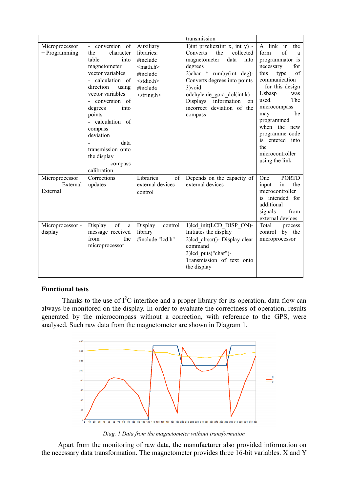|                                        |                                                                                                                                                                                                                                                                                                                      |                                                                                                                                        | transmission                                                                                                                                                                                                                                                                          |                                                                                                                                                                                                                                                                                                                      |
|----------------------------------------|----------------------------------------------------------------------------------------------------------------------------------------------------------------------------------------------------------------------------------------------------------------------------------------------------------------------|----------------------------------------------------------------------------------------------------------------------------------------|---------------------------------------------------------------------------------------------------------------------------------------------------------------------------------------------------------------------------------------------------------------------------------------|----------------------------------------------------------------------------------------------------------------------------------------------------------------------------------------------------------------------------------------------------------------------------------------------------------------------|
| Microprocessor<br>$+$ Programming      | conversion of<br>the<br>character<br>table<br>into<br>magnetometer<br>vector variables<br>calculation of<br>direction<br>using<br>vector variables<br>- conversion of<br>degrees<br>into<br>points<br>- calculation of<br>compass<br>deviation<br>data<br>transmission onto<br>the display<br>compass<br>calibration | Auxiliary<br>libraries:<br>#include<br>$<$ math.h $>$<br>#include<br><stdio.h><br/>#include<br/><math>\le</math>string.h&gt;</stdio.h> | 1)int przelicz(int x, int y) -<br>Converts<br>the<br>collected<br>data<br>magnetometer<br>into<br>degrees<br>2)char $*$ rumby(int deg)-<br>Converts degrees into points<br>3)void<br>odchylenie_gora_dol(int k) -<br>Displays information on<br>incorrect deviation of the<br>compass | A link in<br>the<br>of<br>form<br>a<br>programmator is<br>for<br>necessary<br>this<br>type<br>of<br>communication<br>- for this design<br>Usbasp<br>was<br>used.<br>The<br>microcompass<br>be<br>may<br>programmed<br>when the new<br>programme code<br>is entered into<br>the<br>microcontroller<br>using the link. |
| Microprocessor<br>External<br>External | Corrections<br>updates                                                                                                                                                                                                                                                                                               | Libraries<br>of<br>external devices<br>control                                                                                         | Depends on the capacity of<br>external devices                                                                                                                                                                                                                                        | <b>PORTD</b><br>One<br>the<br>input<br>in<br>microcontroller<br>is intended for<br>additional<br>signals<br>from<br>external devices                                                                                                                                                                                 |
| Microprocessor -<br>display            | Display<br>of<br>a<br>message received<br>from<br>the<br>microprocessor                                                                                                                                                                                                                                              | Display<br>control<br>library<br>#include "lcd.h"                                                                                      | 1)lcd_init(LCD_DISP_ON)-<br>Initiates the display<br>2)lcd clrscr()- Display clear<br>command<br>3)lcd puts("char")-<br>Transmission of text onto<br>the display                                                                                                                      | Total<br>process<br>control by the<br>microprocessor                                                                                                                                                                                                                                                                 |

# **Functional tests**

Thanks to the use of  $I^2C$  interface and a proper library for its operation, data flow can always be monitored on the display. In order to evaluate the correctness of operation, results generated by the microcompass without a correction, with reference to the GPS, were analysed. Such raw data from the magnetometer are shown in Diagram 1.



*Diag. 1 Data from the magnetometer without transformation*

Apart from the monitoring of raw data, the manufacturer also provided information on the necessary data transformation. The magnetometer provides three 16-bit variables. X and Y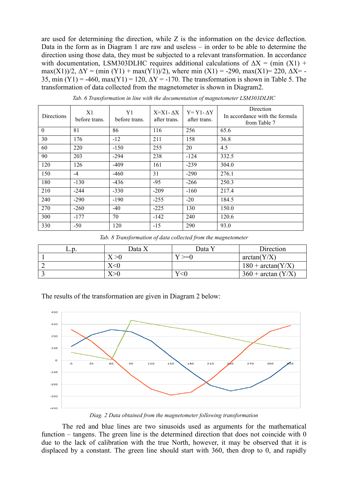are used for determining the direction, while Z is the information on the device deflection. Data in the form as in Diagram 1 are raw and useless – in order to be able to determine the direction using those data, they must be subjected to a relevant transformation. In accordance with documentation, LSM303DLHC requires additional calculations of  $\Delta X = (min (X1) +$ max(X1))/2,  $\Delta Y = (min (Y1) + max(Y1))/2$ , where min (X1) = -290, max(X1)= 220,  $\Delta X =$  -35, min  $(Y1) = -460$ , max $(Y1) = 120$ ,  $\Delta Y = -170$ . The transformation is shown in Table 5. The transformation of data collected from the magnetometer is shown in Diagram2.

| Directions   | X1<br>before trans. | Y1<br>before trans. | $X = X1 - \Delta X$<br>after trans. | $Y = Y1 - \Delta Y$<br>after trans. | Direction<br>In accordance with the formula<br>from Table 7 |
|--------------|---------------------|---------------------|-------------------------------------|-------------------------------------|-------------------------------------------------------------|
| $\mathbf{0}$ | 81                  | 86                  | 116                                 | 256                                 | 65.6                                                        |
| 30           | 176                 | $-12$               | 211                                 | 158                                 | 36.8                                                        |
| 60           | 220                 | $-150$              | 255                                 | 20                                  | 4.5                                                         |
| 90           | 203                 | $-294$              | 238                                 | $-124$                              | 332.5                                                       |
| 120          | 126                 | $-409$              | 161                                 | $-239$                              | 304.0                                                       |
| 150          | $-4$                | $-460$              | 31                                  | $-290$                              | 276.1                                                       |
| 180          | $-130$              | $-436$              | $-95$                               | $-266$                              | 250.3                                                       |
| 210          | $-244$              | $-330$              | $-209$                              | $-160$                              | 217.4                                                       |
| 240          | $-290$              | $-190$              | $-255$                              | $-20$                               | 184.5                                                       |
| 270          | $-260$              | $-40$               | $-225$                              | 130                                 | 150.0                                                       |
| 300          | $-177$              | 70                  | $-142$                              | 240                                 | 120.6                                                       |
| 330          | $-50$               | 120                 | $-15$                               | 290                                 | 93.0                                                        |

*Tab. 6 Transformation in line with the documentation of magnetometer LSM303DLHC*

*Tab. 8 Transformation of data collected from the magnetometer*

| ⊥.∪. | Data X | Data Y | Direction             |
|------|--------|--------|-----------------------|
|      | X > 0  | $\geq$ | arctan(Y/X)           |
|      | X<0    |        | $180 + \arctan(Y/X)$  |
|      | Y > f  | Y<0    | $360 + \arctan (Y/X)$ |

The results of the transformation are given in Diagram 2 below:



*Diag. 2 Data obtained from the magnetometer following transformation*

The red and blue lines are two sinusoids used as arguments for the mathematical function – tangens. The green line is the determined direction that does not coincide with 0 due to the lack of calibration with the true North, however, it may be observed that it is displaced by a constant. The green line should start with 360, then drop to 0, and rapidly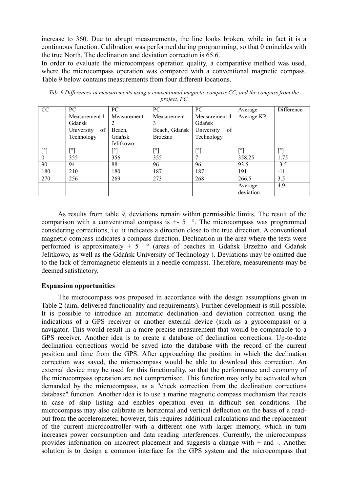increase to 360. Due to abrupt measurements, the line looks broken, while in fact it is a continuous function. Calibration was performed during programming, so that 0 coincides with the true North. The declination and deviation correction is 65.6.

In order to evaluate the microcompass operation quality, a comparative method was used, where the microcompass operation was compared with a conventional magnetic compass. Table 9 below contains measurements from four different locations.

| CC       | PC                                          | PC.                   | PC.                               | PC                                          | Average              | Difference |
|----------|---------------------------------------------|-----------------------|-----------------------------------|---------------------------------------------|----------------------|------------|
|          | Measurement 1<br>Gdańsk<br>University<br>of | Measurement<br>Beach. | Measurement<br>Ć<br>Beach, Gdańsk | Measurement 4<br>Gdańsk<br>of<br>University | Average KP           |            |
|          | Technology                                  | Gdańsk<br>Jelitkowo   | Brzeźno                           | Technology                                  |                      |            |
| г٥٦      | <b>FOT</b>                                  | гот                   | $\Gamma$ <sup>o</sup>             | <b>LoJ</b>                                  | <b>FOT</b>           | <b>FOT</b> |
| $\theta$ | 355                                         | 356                   | 355                               | $\mathbf{r}$                                | 358.25               | 1.75       |
| 90       | 94                                          | 88                    | 96                                | 96                                          | 93.5                 | $-3.5$     |
| 180      | 210                                         | 180                   | 187                               | 187                                         | 191                  | $-11$      |
| 270      | 256                                         | 269                   | 273                               | 268                                         | 266.5                | 3.5        |
|          |                                             |                       |                                   |                                             | Average<br>deviation | 4.9        |

*Tab. 9 Differences in measurements using a conventional magnetic compass CC, and the compass from the project, PC*

As results from table 9, deviations remain within permissible limits. The result of the comparison with a conventional compass is  $+5$  °. The microcompass was programmed considering corrections, i.e. it indicates a direction close to the true direction. A conventional magnetic compass indicates a compass direction. Declination in the area where the tests were performed is approximately  $+ 5$  ° (areas of beaches in Gdańsk Brzeźno and Gdańsk Jelitkowo, as well as the Gdańsk University of Technology ). Deviations may be omitted due to the lack of ferromagnetic elements in a needle compass). Therefore, measurements may be deemed satisfactory.

# **Expansion opportunities**

The microcompass was proposed in accordance with the design assumptions given in Table 2 (aim, delivered functionality and requirements). Further development is still possible. It is possible to introduce an automatic declination and deviation correction using the indications of a GPS receiver or another external device (such as a gyrocompass) or a navigator. This would result in a more precise measurement that would be comparable to a GPS receiver. Another idea is to create a database of declination corrections. Up-to-date declination corrections would be saved into the database with the record of the current position and time from the GPS. After approaching the position in which the declination correction was saved, the microcompass would be able to download this correction. An external device may be used for this functionality, so that the performance and economy of the microcompass operation are not compromised. This function may only be activated when demanded by the microcompass, as a "check correction from the declination corrections database" function. Another idea is to use a marine magnetic compass mechanism that reacts in case of ship listing and enables operation even in difficult sea conditions. The microcompass may also calibrate its horizontal and vertical deflection on the basis of a readout from the accelerometer, however, this requires additional calculations and the replacement of the current microcontroller with a different one with larger memory, which in turn increases power consumption and data reading interferences. Currently, the microcompass provides information on incorrect placement and suggests a change with + and -. Another solution is to design a common interface for the GPS system and the microcompass that